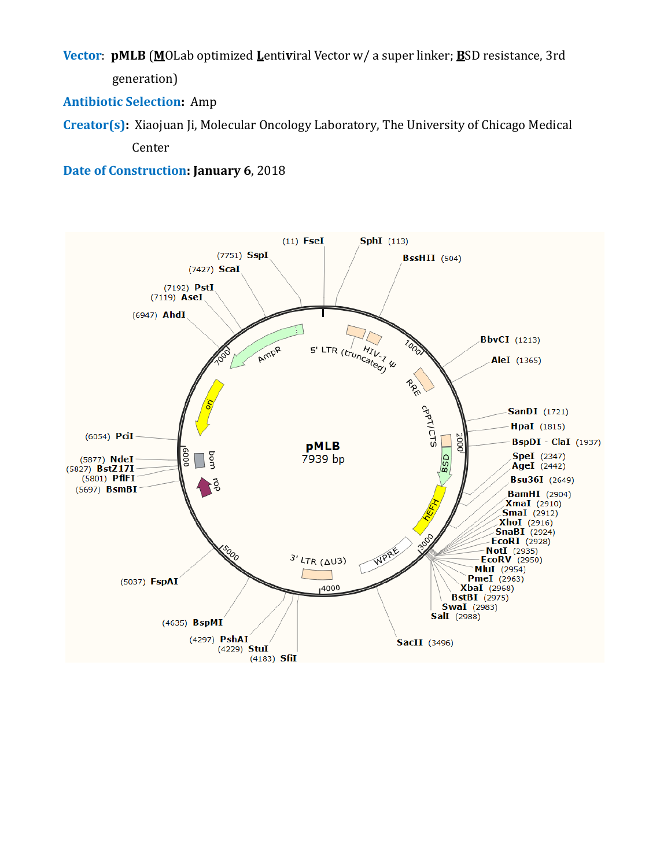**Vector**: **pMLB** (**M**OLab optimized **L**enti**v**iral Vector w/ a super linker; **B**SD resistance, 3rd generation)

**Antibiotic Selection:** Amp

**Creator(s):** Xiaojuan Ji, Molecular Oncology Laboratory, The University of Chicago Medical Center

**Date of Construction: January 6**, 2018

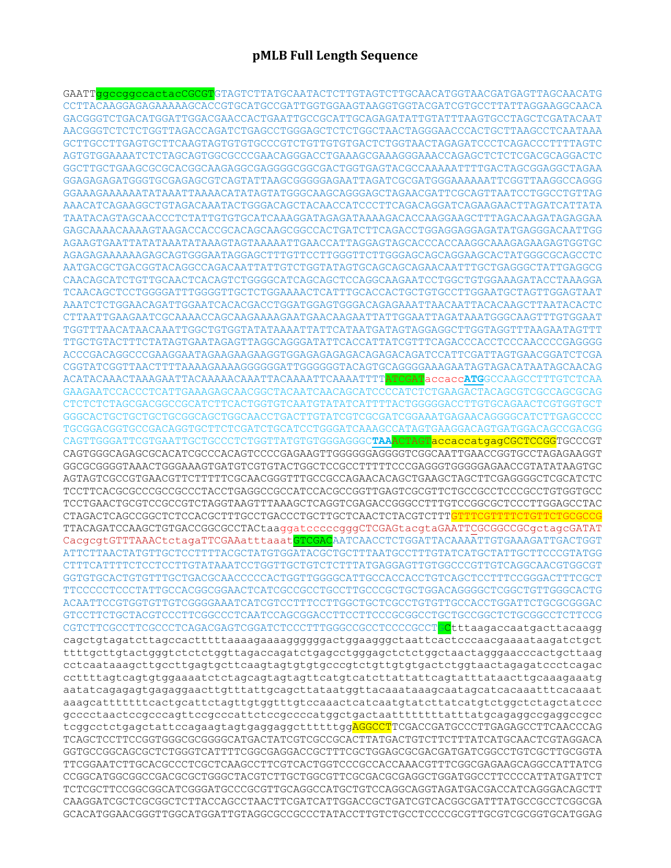## **pMLB Full Length Sequence**

GAATTggccggccactacCGCGTGTAGTCTTATGCAATACTCTTGTAGTCTTGCAACATGGTAACGATGAGTTAGCAACATG CCTTACAAGGAGAGAAAAAGCACCGTGCATGCCGATTGGTGGAAGTAAGGTGGTACGATCGTGCCTTATTAGGAAGGCAACA GACGGGTCTGACATGGATTGGACGAACCACTGAATTGCCGCATTGCAGAGATATTGTATTTAAGTGCCTAGCTCGATACAAT AACGGGTCTCTCTGGTTAGACCAGATCTGAGCCTGGGAGCTCTCTGGCTAACTAGGGAACCCACTGCTTAAGCCTCAATAAA GCTTGCCTTGAGTGCTTCAAGTAGTGTGTGCCCGTCTGTTGTGTGACTCTGGTAACTAGAGATCCCTCAGACCCTTTTAGTC AGTGTGGAAAATCTCTAGCAGTGGCGCCCGAACAGGGACCTGAAAGCGAAAGGGAAACCAGAGCTCTCTCGACGCAGGACTC GGCTTGCTGAAGCGCGCACGGCAAGAGGCGAGGGGCGGCGACTGGTGAGTACGCCAAAAATTTTGACTAGCGGAGGCTAGAA GGAGAGAGATGGGTGCGAGAGCGTCAGTATTAAGCGGGGGAGAATTAGATCGCGATGGGAAAAAATTCGGTTAAGGCCAGGG GGAAAGAAAAAATATAAATTAAAACATATAGTATGGGCAAGCAGGGAGCTAGAACGATTCGCAGTTAATCCTGGCCTGTTAG AAACATCAGAAGGCTGTAGACAAATACTGGGACAGCTACAACCATCCCTTCAGACAGGATCAGAAGAACTTAGATCATTATA TAATACAGTAGCAACCCTCTATTGTGTGCATCAAAGGATAGAGATAAAAGACACCAAGGAAGCTTTAGACAAGATAGAGGAA GAGCAAAACAAAAGTAAGACCACCGCACAGCAAGCGGCCACTGATCTTCAGACCTGGAGGAGGAGATATGAGGGACAATTGG AGAAGTGAATTATATAAATATAAAGTAGTAAAAATTGAACCATTAGGAGTAGCACCCACCAAGGCAAAGAGAAGAGTGGTGC AGAGAGAAAAAAGAGCAGTGGGAATAGGAGCTTTGTTCCTTGGGTTCTTGGGAGCAGCAGGAAGCACTATGGGCGCAGCCTC AATGACGCTGACGGTACAGGCCAGACAATTATTGTCTGGTATAGTGCAGCAGCAGAACAATTTGCTGAGGGCTATTGAGGCG CAACAGCATCTGTTGCAACTCACAGTCTGGGGCATCAGCAGCTCCAGGCAAGAATCCTGGCTGTGGAAAGATACCTAAAGGA TCAACAGCTCCTGGGGATTTGGGGTTGCTCTGGAAAACTCATTTGCACCACTGCTGTGCCTTGGAATGCTAGTTGGAGTAAT AAATCTCTGGAACAGATTGGAATCACACGACCTGGATGGAGTGGGACAGAGAAATTAACAATTACACAAGCTTAATACACTC CTTAATTGAAGAATCGCAAAACCAGCAAGAAAAGAATGAACAAGAATTATTGGAATTAGATAAATGGGCAAGTTTGTGGAAT TGGTTTAACATAACAAATTGGCTGTGGTATATAAAATTATTCATAATGATAGTAGGAGGCTTGGTAGGTTTAAGAATAGTTT TTGCTGTACTTTCTATAGTGAATAGAGTTAGGCAGGGATATTCACCATTATCGTTTCAGACCCACCTCCCAACCCCGAGGGG ACCCGACAGGCCCGAAGGAATAGAAGAAGAAGGTGGAGAGAGAGACAGAGACAGATCCATTCGATTAGTGAACGGATCTCGA CGGTATCGGTTAACTTTTAAAAGAAAAGGGGGGATTGGGGGGTACAGTGCAGGGGAAAGAATAGTAGACATAATAGCAACAG ACATACAAACTAAAGAATTACAAAAACAAATTACAAAATTCAAAATTTTATCGATaccacc**ATG**GCCAAGCCTTTGTCTCAA GAAGAATCCACCCTCATTGAAAGAGCAACGGCTACAATCAACAGCATCCCCATCTCTGAAGACTACAGCGTCGCCAGCGCAG CTCTCTCTAGCGACGGCCGCATCTTCACTGGTGTCAATGTATATCATTTTACTGGGGGACCTTGTGCAGAACTCGTGGTGCT GGGCACTGCTGCTGCTGCGGCAGCTGGCAACCTGACTTGTATCGTCGCGATCGGAAATGAGAACAGGGGCATCTTGAGCCCC TGCGGACGGTGCCGACAGGTGCTTCTCGATCTGCATCCTGGGATCAAAGCCATAGTGAAGGACAGTGATGGACAGCCGACGG CAGTTGGGATTCGTGAATTGCTGCCCTCTGGTTATGTGTGGGAGGGC**TAA**ACTAGTaccaccatgagCGCTCCGGTGCCCGT CAGTGGGCAGAGCGCACATCGCCCACAGTCCCCGAGAAGTTGGGGGGAGGGGTCGGCAATTGAACCGGTGCCTAGAGAAGGT GGCGCGGGGTAAACTGGGAAAGTGATGTCGTGTACTGGCTCCGCCTTTTTCCCGAGGGTGGGGGAGAACCGTATATAAGTGC AGTAGTCGCCGTGAACGTTCTTTTTCGCAACGGGTTTGCCGCCAGAACACAGCTGAAGCTAGCTTCGAGGGGCTCGCATCTC TCCTTCACGCGCCCGCCGCCCTACCTGAGGCCGCCATCCACGCCGGTTGAGTCGCGTTCTGCCGCCTCCCGCCTGTGGTGCC TCCTGAACTGCGTCCGCCGTCTAGGTAAGTTTAAAGCTCAGGTCGAGACCGGGCCTTTGTCCGGCGCTCCCTTGGAGCCTAC CTAGACTCAGCCGGCTCTCCACGCTTTGCCTGACCCTGCTTGCTCAACTCTACGTCTTTGTTTCGTTTTCTGTTCTGCGCCG TTACAGATCCAAGCTGTGACCGGCGCCTACtaaggatcccccgggCTCGAGtacgtaGAATTCGCGGCCGCgctagcGATAT CacgcgtGTTTAAACtctagaTTCGAAatttaaatGTCGACAATCAACCTCTGGATTACAAAATTGTGAAAGATTGACTGGT ATTCTTAACTATGTTGCTCCTTTTACGCTATGTGGATACGCTGCTTTAATGCCTTTGTATCATGCTATTGCTTCCCGTATGG CTTTCATTTTCTCCTCCTTGTATAAATCCTGGTTGCTGTCTCTTTATGAGGAGTTGTGGCCCGTTGTCAGGCAACGTGGCGT GGTGTGCACTGTGTTTGCTGACGCAACCCCCACTGGTTGGGGCATTGCCACCACCTGTCAGCTCCTTTCCGGGACTTTCGCT TTCCCCCTCCCTATTGCCACGGCGGAACTCATCGCCGCCTGCCTTGCCCGCTGCTGGACAGGGGCTCGGCTGTTGGGCACTG ACAATTCCGTGGTGTTGTCGGGGAAATCATCGTCCTTTCCTTGGCTGCTCGCCTGTGTTGCCACCTGGATTCTGCGCGGGAC GTCCTTCTGCTACGTCCCTTCGGCCCTCAATCCAGCGGACCTTCCTTCCCGCGGCCTGCTGCCGGCTCTGCGGCCTCTTCCG CGTCTTCGCCTTCGCCCTCAGACGAGTCGGATCTCCCTTTGGGCCGCCTCCCCGCCT Ctttaagaccaatgacttacaagg cagctgtagatcttagccactttttaaaagaaaaggggggactggaagggctaattcactcccaacgaaaataagatctgct ttttgcttgtactgggtctctctggttagaccagatctgagcctgggagctctctggctaactagggaacccactgcttaag cctcaataaagcttgccttgagtgcttcaagtagtgtgtgcccgtctgttgtgtgactctggtaactagagatccctcagac ccttttagtcagtgtggaaaatctctagcagtagtagttcatgtcatcttattattcagtatttataacttgcaaagaaatg aatatcagagagtgagaggaacttgtttattgcagcttataatggttacaaataaagcaatagcatcacaaatttcacaaat aaagcatttttttcactgcattctagttgtggtttgtccaaactcatcaatgtatcttatcatgtctggctctagctatccc gcccctaactccgcccagttccgcccattctccgccccatggctgactaattttttttatttatgcagaggccgaggccgcc tcggcctctgagctattccagaagtagtgaggaggcttttttggAGGCCTTCGACCGATGCCCTTGAGAGCCTTCAACCCAG TCAGCTCCTTCCGGTGGGCGCGGGGCATGACTATCGTCGCCGCACTTATGACTGTCTTCTTTATCATGCAACTCGTAGGACA GGTGCCGGCAGCGCTCTGGGTCATTTTCGGCGAGGACCGCTTTCGCTGGAGCGCGACGATGATCGGCCTGTCGCTTGCGGTA TTCGGAATCTTGCACGCCCTCGCTCAAGCCTTCGTCACTGGTCCCGCCACCAAACGTTTCGGCGAGAAGCAGGCCATTATCG CCGGCATGGCGGCCGACGCGCTGGGCTACGTCTTGCTGGCGTTCGCGACGCGAGGCTGGATGGCCTTCCCCATTATGATTCT TCTCGCTTCCGGCGGCATCGGGATGCCCGCGTTGCAGGCCATGCTGTCCAGGCAGGTAGATGACGACCATCAGGGACAGCTT CAAGGATCGCTCGCGGCTCTTACCAGCCTAACTTCGATCATTGGACCGCTGATCGTCACGGCGATTTATGCCGCCTCGGCGA GCACATGGAACGGGTTGGCATGGATTGTAGGCGCCGCCCTATACCTTGTCTGCCTCCCCGCGTTGCGTCGCGGTGCATGGAG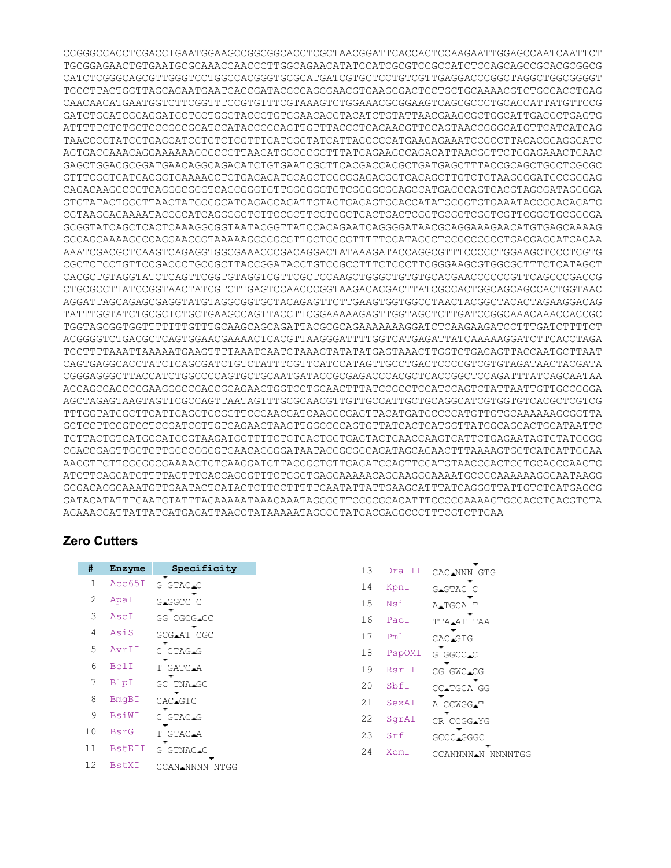CCGGGCCACCTCGACCTGAATGGAAGCCGGCGGCACCTCGCTAACGGATTCACCACTCCAAGAATTGGAGCCAATCAATTCT TGCGGAGAACTGTGAATGCGCAAACCAACCCTTGGCAGAACATATCCATCGCGTCCGCCATCTCCAGCAGCCGCACGCGGCG CATCTCGGGCAGCGTTGGGTCCTGGCCACGGGTGCGCATGATCGTGCTCCTGTCGTTGAGGACCCGGCTAGGCTGGCGGGGT TGCCTTACTGGTTAGCAGAATGAATCACCGATACGCGAGCGAACGTGAAGCGACTGCTGCTGCAAAACGTCTGCGACCTGAG CAACAACATGAATGGTCTTCGGTTTCCGTGTTTCGTAAAGTCTGGAAACGCGGAAGTCAGCGCCCTGCACCATTATGTTCCG GATCTGCATCGCAGGATGCTGCTGGCTACCCTGTGGAACACCTACATCTGTATTAACGAAGCGCTGGCATTGACCCTGAGTG ATTTTTCTCTGGTCCCGCCGCATCCATACCGCCAGTTGTTTACCCTCACAACGTTCCAGTAACCGGGCATGTTCATCATCAG TAACCCGTATCGTGAGCATCCTCTCTCGTTTCATCGGTATCATTACCCCCATGAACAGAAATCCCCCTTACACGGAGGCATC AGTGACCAAACAGGAAAAAACCGCCCTTAACATGGCCCGCTTTATCAGAAGCCAGACATTAACGCTTCTGGAGAAACTCAAC GAGCTGGACGCGGATGAACAGGCAGACATCTGTGAATCGCTTCACGACCACGCTGATGAGCTTTACCGCAGCTGCCTCGCGC GTTTCGGTGATGACGGTGAAAACCTCTGACACATGCAGCTCCCGGAGACGGTCACAGCTTGTCTGTAAGCGGATGCCGGGAG CAGACAAGCCCGTCAGGGCGCGTCAGCGGGTGTTGGCGGGTGTCGGGGCGCAGCCATGACCCAGTCACGTAGCGATAGCGGA GTGTATACTGGCTTAACTATGCGGCATCAGAGCAGATTGTACTGAGAGTGCACCATATGCGGTGTGAAATACCGCACAGATG CGTAAGGAGAAAATACCGCATCAGGCGCTCTTCCGCTTCCTCGCTCACTGACTCGCTGCGCTCGGTCGTTCGGCTGCGGCGA GCGGTATCAGCTCACTCAAAGGCGGTAATACGGTTATCCACAGAATCAGGGGATAACGCAGGAAAGAACATGTGAGCAAAAG GCCAGCAAAAGGCCAGGAACCGTAAAAAGGCCGCGTTGCTGGCGTTTTTCCATAGGCTCCGCCCCCCTGACGAGCATCACAA AAATCGACGCTCAAGTCAGAGGTGGCGAAACCCGACAGGACTATAAAGATACCAGGCGTTTCCCCCTGGAAGCTCCCTCGTG CGCTCTCCTGTTCCGACCCTGCCGCTTACCGGATACCTGTCCGCCTTTCTCCCTTCGGGAAGCGTGGCGCTTTCTCATAGCT CACGCTGTAGGTATCTCAGTTCGGTGTAGGTCGTTCGCTCCAAGCTGGGCTGTGTGCACGAACCCCCCGTTCAGCCCGACCG CTGCGCCTTATCCGGTAACTATCGTCTTGAGTCCAACCCGGTAAGACACGACTTATCGCCACTGGCAGCAGCCACTGGTAAC AGGATTAGCAGAGCGAGGTATGTAGGCGGTGCTACAGAGTTCTTGAAGTGGTGGCCTAACTACGGCTACACTAGAAGGACAG TATTTGGTATCTGCGCTCTGCTGAAGCCAGTTACCTTCGGAAAAAGAGTTGGTAGCTCTTGATCCGGCAAACAAACCACCGC TGGTAGCGGTGGTTTTTTTGTTTGCAAGCAGCAGATTACGCGCAGAAAAAAAGGATCTCAAGAAGATCCTTTGATCTTTTCT ACGGGGTCTGACGCTCAGTGGAACGAAAACTCACGTTAAGGGATTTTGGTCATGAGATTATCAAAAAGGATCTTCACCTAGA TCCTTTTAAATTAAAAATGAAGTTTTAAATCAATCTAAAGTATATATGAGTAAACTTGGTCTGACAGTTACCAATGCTTAAT CAGTGAGGCACCTATCTCAGCGATCTGTCTATTTCGTTCATCCATAGTTGCCTGACTCCCCGTCGTGTAGATAACTACGATA CGGGAGGGCTTACCATCTGGCCCCAGTGCTGCAATGATACCGCGAGACCCACGCTCACCGGCTCCAGATTTATCAGCAATAA ACCAGCCAGCCGGAAGGGCCGAGCGCAGAAGTGGTCCTGCAACTTTATCCGCCTCCATCCAGTCTATTAATTGTTGCCGGGA AGCTAGAGTAAGTAGTTCGCCAGTTAATAGTTTGCGCAACGTTGTTGCCATTGCTGCAGGCATCGTGGTGTCACGCTCGTCG TTTGGTATGGCTTCATTCAGCTCCGGTTCCCAACGATCAAGGCGAGTTACATGATCCCCCATGTTGTGCAAAAAAGCGGTTA GCTCCTTCGGTCCTCCGATCGTTGTCAGAAGTAAGTTGGCCGCAGTGTTATCACTCATGGTTATGGCAGCACTGCATAATTC TCTTACTGTCATGCCATCCGTAAGATGCTTTTCTGTGACTGGTGAGTACTCAACCAAGTCATTCTGAGAATAGTGTATGCGG CGACCGAGTTGCTCTTGCCCGGCGTCAACACGGGATAATACCGCGCCACATAGCAGAACTTTAAAAGTGCTCATCATTGGAA AACGTTCTTCGGGGCGAAAACTCTCAAGGATCTTACCGCTGTTGAGATCCAGTTCGATGTAACCCACTCGTGCACCCAACTG ATCTTCAGCATCTTTTACTTTCACCAGCGTTTCTGGGTGAGCAAAAACAGGAAGGCAAAATGCCGCAAAAAAGGGAATAAGG GCGACACGGAAATGTTGAATACTCATACTCTTCCTTTTTCAATATTATTGAAGCATTTATCAGGGTTATTGTCTCATGAGCG GATACATATTTGAATGTATTTAGAAAAATAAACAAATAGGGGTTCCGCGCACATTTCCCCGAAAAGTGCCACCTGACGTCTA AGAAACCATTATTATCATGACATTAACCTATAAAAATAGGCGTATCACGAGGCCCTTTCGTCTTCAA

## **Zero Cutters**

| #  | Enzyme        | Specificity    |
|----|---------------|----------------|
| 1  | Acc65I        | G GTAC.C       |
| 2  | ApaI          | GAGGCC C       |
| 3  | AscI          | GG CGCG.CC     |
| 4  | AsiSI         | GCG.AT CGC     |
| 5  | AvrII         | C CTAG.G       |
| 6  | BclI          | T GATC.A       |
| 7  | BlpI          | GC TNA.GC      |
| 8  | BmqBI         | CAC.GTC        |
| 9  | BsiWI         | C GTAC.G       |
| 10 | <b>BsrGI</b>  | T GTAC.A       |
| 11 | <b>BstEII</b> | G GTNAC.C      |
| 12 | <b>BstXI</b>  | CCAN.NNNN NTGG |

| 13 | DraIII | CAC.NNN GTG       |
|----|--------|-------------------|
| 14 | KpnI   | G <b></b> ⊿GTAC C |
| 15 | NsiI   | A∡TGCA T          |
| 16 | PacI   | TTA AT TAA        |
| 17 | PmlI   | CAC.GTG           |
| 18 | PspOMI | G GGCC <b>⊥</b> C |
| 19 | RsrII  | CG GWC.CG         |
| 20 | SbfI   | CC.TGCA GG        |
| 21 | SexAI  | A CCWGG <b>AT</b> |
| 22 | SqrAI  | CR CCGG.YG        |
| 23 | SrfI   | GCCC.GGGC         |
| 24 | XcmI   | CCANNNNAN NNNNTGG |